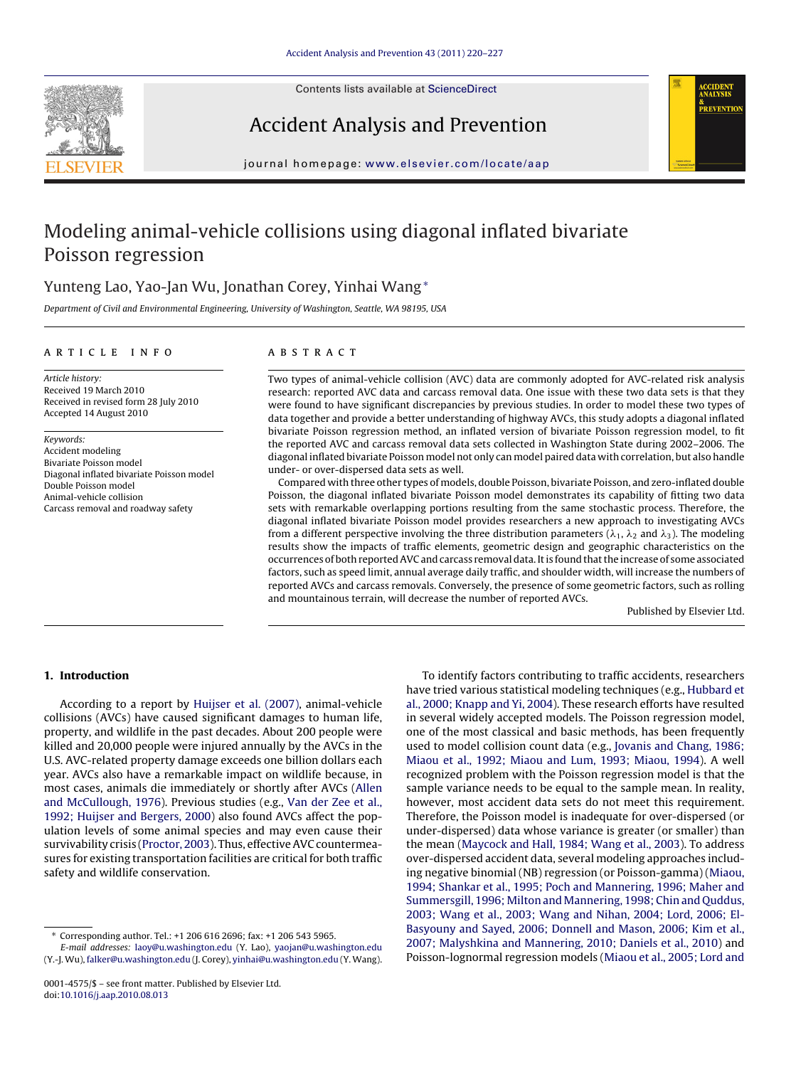Contents lists available at [ScienceDirect](http://www.sciencedirect.com/science/journal/00014575)



Accident Analysis and Prevention



journal homepage: [www.elsevier.com/locate/aap](http://www.elsevier.com/locate/aap)

# Modeling animal-vehicle collisions using diagonal inflated bivariate Poisson regression

# Yunteng Lao, Yao-Jan Wu, Jonathan Corey, Yinhai Wang<sup>∗</sup>

Department of Civil and Environmental Engineering, University of Washington, Seattle, WA 98195, USA

### article info

# **ABSTRACT**

Article history: Received 19 March 2010 Received in revised form 28 July 2010 Accepted 14 August 2010

Keywords: Accident modeling Bivariate Poisson model Diagonal inflated bivariate Poisson model Double Poisson model Animal-vehicle collision Carcass removal and roadway safety

Two types of animal-vehicle collision (AVC) data are commonly adopted for AVC-related risk analysis research: reported AVC data and carcass removal data. One issue with these two data sets is that they were found to have significant discrepancies by previous studies. In order to model these two types of data together and provide a better understanding of highway AVCs, this study adopts a diagonal inflated bivariate Poisson regression method, an inflated version of bivariate Poisson regression model, to fit the reported AVC and carcass removal data sets collected in Washington State during 2002–2006. The diagonal inflated bivariate Poisson model not only can model paired data with correlation, but also handle under- or over-dispersed data sets as well.

Compared with three other types of models, double Poisson, bivariate Poisson, and zero-inflated double Poisson, the diagonal inflated bivariate Poisson model demonstrates its capability of fitting two data sets with remarkable overlapping portions resulting from the same stochastic process. Therefore, the diagonal inflated bivariate Poisson model provides researchers a new approach to investigating AVCs from a different perspective involving the three distribution parameters ( $\lambda_1$ ,  $\lambda_2$  and  $\lambda_3$ ). The modeling results show the impacts of traffic elements, geometric design and geographic characteristics on the occurrences of both reported AVC and carcass removal data. It is found that the increase of some associated factors, such as speed limit, annual average daily traffic, and shoulder width, will increase the numbers of reported AVCs and carcass removals. Conversely, the presence of some geometric factors, such as rolling and mountainous terrain, will decrease the number of reported AVCs.

Published by Elsevier Ltd.

## **1. Introduction**

According to a report by [Huijser et al. \(2007\),](#page-6-0) animal-vehicle collisions (AVCs) have caused significant damages to human life, property, and wildlife in the past decades. About 200 people were killed and 20,000 people were injured annually by the AVCs in the U.S. AVC-related property damage exceeds one billion dollars each year. AVCs also have a remarkable impact on wildlife because, in most cases, animals die immediately or shortly after AVCs [\(Allen](#page-6-0) [and McCullough, 1976\).](#page-6-0) Previous studies (e.g., [Van der Zee et al.,](#page-7-0) [1992; Huijser and Bergers, 2000\)](#page-7-0) also found AVCs affect the population levels of some animal species and may even cause their survivability crisis ([Proctor, 2003\).](#page-7-0) Thus, effective AVC countermeasures for existing transportation facilities are critical for both traffic safety and wildlife conservation.

E-mail addresses: [laoy@u.washington.edu](mailto:laoy@u.washington.edu) (Y. Lao), [yaojan@u.washington.edu](mailto:yaojan@u.washington.edu) (Y.-J. Wu), [falker@u.washington.edu](mailto:falker@u.washington.edu) (J. Corey), [yinhai@u.washington.edu](mailto:yinhai@u.washington.edu) (Y. Wang).

To identify factors contributing to traffic accidents, researchers have tried various statistical modeling techniques (e.g., [Hubbard et](#page-6-0) [al., 2000; Knapp and Yi, 2004\).](#page-6-0) These research efforts have resulted in several widely accepted models. The Poisson regression model, one of the most classical and basic methods, has been frequently used to model collision count data (e.g., [Jovanis and Chang, 1986;](#page-6-0) [Miaou et al., 1992; Miaou and Lum, 1993; Miaou, 1994\).](#page-6-0) A well recognized problem with the Poisson regression model is that the sample variance needs to be equal to the sample mean. In reality, however, most accident data sets do not meet this requirement. Therefore, the Poisson model is inadequate for over-dispersed (or under-dispersed) data whose variance is greater (or smaller) than the mean [\(Maycock and Hall, 1984; Wang et al., 2003\).](#page-7-0) To address over-dispersed accident data, several modeling approaches including negative binomial (NB) regression (or Poisson-gamma) ([Miaou,](#page-7-0) [1994; Shankar et al., 1995; Poch and Mannering, 1996; Maher and](#page-7-0) [Summersgill, 1996; Milton and Mannering, 1998; Chin and Quddus,](#page-7-0) [2003; Wang et al., 2003; Wang and Nihan, 2004; Lord, 2006; El-](#page-7-0)Basyouny [and Sayed, 2006; Donnell and Mason, 2006; Kim et al.,](#page-7-0) [2007; Malyshkina and Mannering, 2010; Daniels et al., 2010\)](#page-7-0) and Poisson-lognormal regression models [\(Miaou et al., 2005; Lord and](#page-7-0)

<sup>∗</sup> Corresponding author. Tel.: +1 206 616 2696; fax: +1 206 543 5965.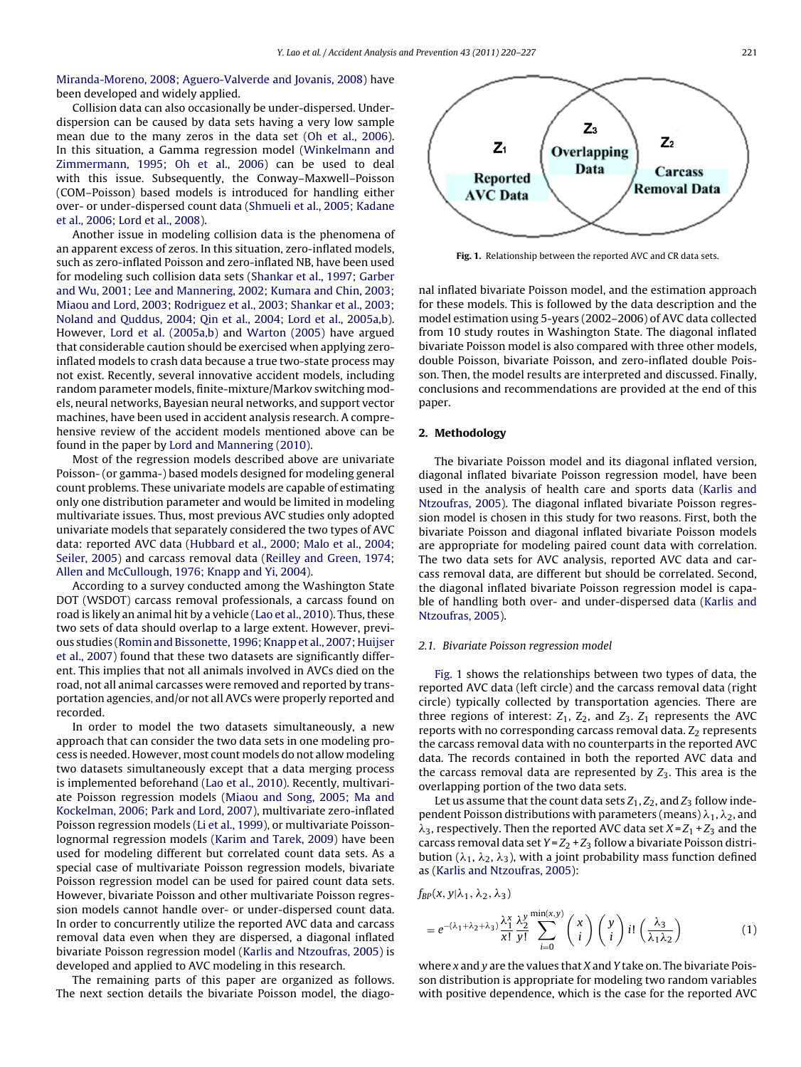<span id="page-1-0"></span>[Miranda-Moreno, 2008; Aguero-Valverde and Jovanis, 2008\)](#page-7-0) have been developed and widely applied.

Collision data can also occasionally be under-dispersed. Underdispersion can be caused by data sets having a very low sample mean due to the many zeros in the data set ([Oh et al., 2006\).](#page-7-0) In this situation, a Gamma regression model ([Winkelmann and](#page-7-0) [Zimmermann, 1995; Oh et al., 2006\)](#page-7-0) can be used to deal with this issue. Subsequently, the Conway–Maxwell–Poisson (COM–Poisson) based models is introduced for handling either over- or under-dispersed count data [\(Shmueli et al., 2005; Kadane](#page-7-0) [et al., 2006; Lord et al., 2008\).](#page-7-0)

Another issue in modeling collision data is the phenomena of an apparent excess of zeros. In this situation, zero-inflated models, such as zero-inflated Poisson and zero-inflated NB, have been used for modeling such collision data sets ([Shankar et al., 1997; Garber](#page-7-0) [and Wu, 2001; Lee and Mannering, 2002; Kumara and Chin, 2003;](#page-7-0) [Miaou and Lord, 2003; Rodriguez et al., 2003; Shankar et al., 2003;](#page-7-0) [Noland and Quddus, 2004; Qin et al., 2004; Lord et al., 2005a,b\).](#page-7-0) However, [Lord et al. \(2005a,b\)](#page-7-0) and [Warton \(2005\)](#page-7-0) have argued that considerable caution should be exercised when applying zeroinflated models to crash data because a true two-state process may not exist. Recently, several innovative accident models, including random parameter models, finite-mixture/Markov switching models, neural networks, Bayesian neural networks, and support vector machines, have been used in accident analysis research. A comprehensive review of the accident models mentioned above can be found in the paper by [Lord and Mannering \(2010\).](#page-7-0)

Most of the regression models described above are univariate Poisson- (or gamma-) based models designed for modeling general count problems. These univariate models are capable of estimating only one distribution parameter and would be limited in modeling multivariate issues. Thus, most previous AVC studies only adopted univariate models that separately considered the two types of AVC data: reported AVC data [\(Hubbard et al., 2000; Malo et al., 2004;](#page-6-0) [Seiler, 2005\)](#page-6-0) and carcass removal data ([Reilley and Green, 1974;](#page-7-0) [Allen and McCullough, 1976; Knapp and Yi, 2004\).](#page-7-0)

According to a survey conducted among the Washington State DOT (WSDOT) carcass removal professionals, a carcass found on road is likely an animal hit by a vehicle ([Lao et al., 2010\).](#page-6-0) Thus, these two sets of data should overlap to a large extent. However, previous studies [\(Romin and Bissonette, 1996; Knapp et al., 2007; Huijser](#page-7-0) [et al., 2007\)](#page-7-0) found that these two datasets are significantly different. This implies that not all animals involved in AVCs died on the road, not all animal carcasses were removed and reported by transportation agencies, and/or not all AVCs were properly reported and recorded.

In order to model the two datasets simultaneously, a new approach that can consider the two data sets in one modeling process is needed. However, most count models do not allow modeling two datasets simultaneously except that a data merging process is implemented beforehand [\(Lao et al., 2010\).](#page-6-0) Recently, multivariate Poisson regression models ([Miaou and Song, 2005; Ma and](#page-7-0) [Kockelman, 2006; Park and Lord, 2007\),](#page-7-0) multivariate zero-inflated Poisson regression models ([Li et al., 1999\),](#page-7-0) or multivariate Poissonlognormal regression models [\(Karim and Tarek, 2009\)](#page-6-0) have been used for modeling different but correlated count data sets. As a special case of multivariate Poisson regression models, bivariate Poisson regression model can be used for paired count data sets. However, bivariate Poisson and other multivariate Poisson regression models cannot handle over- or under-dispersed count data. In order to concurrently utilize the reported AVC data and carcass removal data even when they are dispersed, a diagonal inflated bivariate Poisson regression model ([Karlis and Ntzoufras, 2005\)](#page-6-0) is developed and applied to AVC modeling in this research.

The remaining parts of this paper are organized as follows. The next section details the bivariate Poisson model, the diago-



**Fig. 1.** Relationship between the reported AVC and CR data sets.

nal inflated bivariate Poisson model, and the estimation approach for these models. This is followed by the data description and the model estimation using 5-years (2002–2006) of AVC data collected from 10 study routes in Washington State. The diagonal inflated bivariate Poisson model is also compared with three other models, double Poisson, bivariate Poisson, and zero-inflated double Poisson. Then, the model results are interpreted and discussed. Finally, conclusions and recommendations are provided at the end of this paper.

#### **2. Methodology**

The bivariate Poisson model and its diagonal inflated version, diagonal inflated bivariate Poisson regression model, have been used in the analysis of health care and sports data [\(Karlis and](#page-6-0) [Ntzoufras, 2005\).](#page-6-0) The diagonal inflated bivariate Poisson regression model is chosen in this study for two reasons. First, both the bivariate Poisson and diagonal inflated bivariate Poisson models are appropriate for modeling paired count data with correlation. The two data sets for AVC analysis, reported AVC data and carcass removal data, are different but should be correlated. Second, the diagonal inflated bivariate Poisson regression model is capable of handling both over- and under-dispersed data ([Karlis and](#page-6-0) [Ntzoufras, 2005\).](#page-6-0)

#### 2.1. Bivariate Poisson regression model

Fig. 1 shows the relationships between two types of data, the reported AVC data (left circle) and the carcass removal data (right circle) typically collected by transportation agencies. There are three regions of interest:  $Z_1$ ,  $Z_2$ , and  $Z_3$ .  $Z_1$  represents the AVC reports with no corresponding carcass removal data.  $Z_2$  represents the carcass removal data with no counterparts in the reported AVC data. The records contained in both the reported AVC data and the carcass removal data are represented by  $Z_3$ . This area is the overlapping portion of the two data sets.

Let us assume that the count data sets  $Z_1, Z_2$ , and  $Z_3$  follow independent Poisson distributions with parameters (means)  $\lambda_1$ ,  $\lambda_2$ , and  $\lambda_3$ , respectively. Then the reported AVC data set  $X = Z_1 + Z_3$  and the carcass removal data set  $Y = Z_2 + Z_3$  follow a bivariate Poisson distribution ( $\lambda_1$ ,  $\lambda_2$ ,  $\lambda_3$ ), with a joint probability mass function defined as ([Karlis and Ntzoufras, 2005\):](#page-6-0)

$$
f_{BP}(x, y | \lambda_1, \lambda_2, \lambda_3)
$$
  
=  $e^{-(\lambda_1 + \lambda_2 + \lambda_3)} \frac{\lambda_1^x}{x!} \frac{\lambda_2^y}{y!} \sum_{i=0}^{\min(x, y)} {x \choose i} {y \choose i} i! \left(\frac{\lambda_3}{\lambda_1 \lambda_2}\right)$  (1)

where  $x$  and  $y$  are the values that  $X$  and  $Y$  take on. The bivariate Poisson distribution is appropriate for modeling two random variables with positive dependence, which is the case for the reported AVC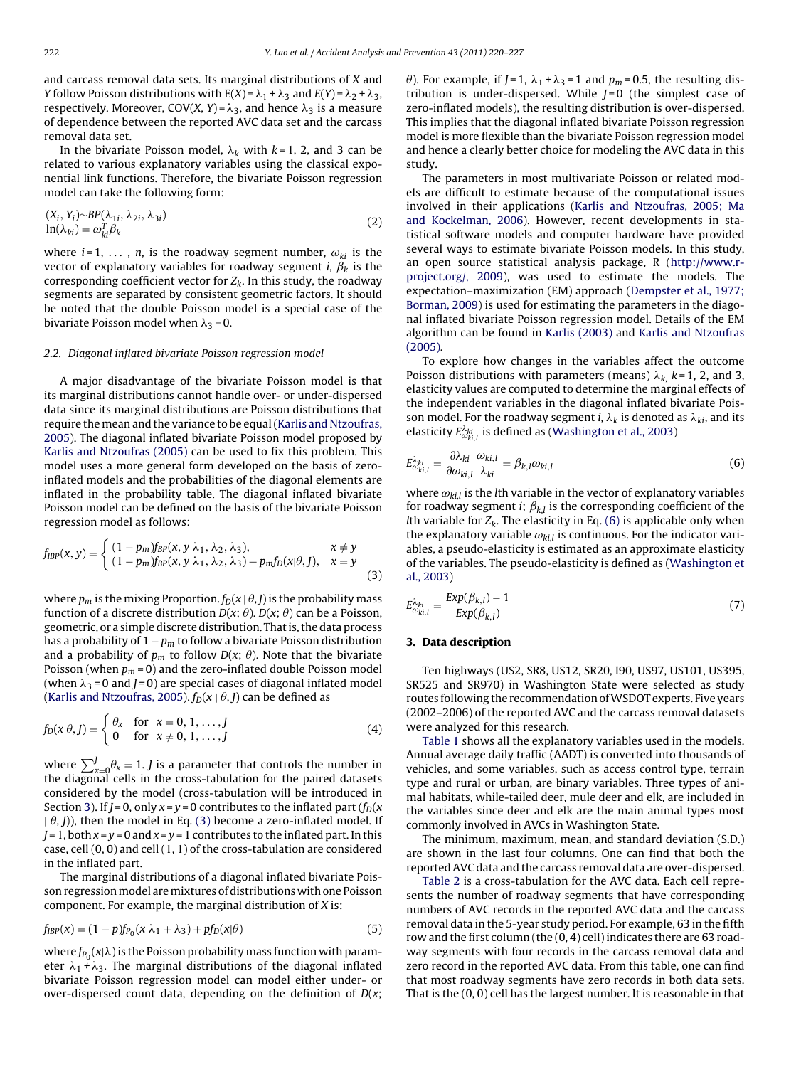and carcass removal data sets. Its marginal distributions of X and Y follow Poisson distributions with  $E(X) = \lambda_1 + \lambda_3$  and  $E(Y) = \lambda_2 + \lambda_3$ , respectively. Moreover, COV(X, Y) =  $\lambda_3$ , and hence  $\lambda_3$  is a measure of dependence between the reported AVC data set and the carcass removal data set.

In the bivariate Poisson model,  $\lambda_k$  with  $k$ =1, 2, and 3 can be related to various explanatory variables using the classical exponential link functions. Therefore, the bivariate Poisson regression model can take the following form:

$$
(X_i, Y_i) \sim BP(\lambda_{1i}, \lambda_{2i}, \lambda_{3i})
$$
  

$$
\ln(\lambda_{ki}) = \omega_{ki}^T \beta_k
$$
 (2)

where  $i = 1, \ldots, n$ , is the roadway segment number,  $\omega_{ki}$  is the vector of explanatory variables for roadway segment *i*,  $\beta_k$  is the corresponding coefficient vector for  $Z_k$ . In this study, the roadway segments are separated by consistent geometric factors. It should be noted that the double Poisson model is a special case of the bivariate Poisson model when  $\lambda_3$  = 0.

#### 2.2. Diagonal inflated bivariate Poisson regression model

A major disadvantage of the bivariate Poisson model is that its marginal distributions cannot handle over- or under-dispersed data since its marginal distributions are Poisson distributions that require the mean and the variance to be equal ([Karlis and Ntzoufras,](#page-6-0) [2005\).](#page-6-0) The diagonal inflated bivariate Poisson model proposed by [Karlis and Ntzoufras \(2005\)](#page-6-0) can be used to fix this problem. This model uses a more general form developed on the basis of zeroinflated models and the probabilities of the diagonal elements are inflated in the probability table. The diagonal inflated bivariate Poisson model can be defined on the basis of the bivariate Poisson regression model as follows:

$$
f_{IBP}(x, y) = \begin{cases} (1 - p_m) f_{BP}(x, y | \lambda_1, \lambda_2, \lambda_3), & x \neq y \\ (1 - p_m) f_{BP}(x, y | \lambda_1, \lambda_2, \lambda_3) + p_m f_D(x | \theta, J), & x = y \end{cases}
$$
(3)

where  $p_m$  is the mixing Proportion.  $f_D(x | \theta, I)$  is the probability mass function of a discrete distribution  $D(x; \theta)$ .  $D(x; \theta)$  can be a Poisson, geometric, or a simple discrete distribution. That is, the data process has a probability of  $1 - p_m$  to follow a bivariate Poisson distribution and a probability of  $p_m$  to follow  $D(x; \theta)$ . Note that the bivariate Poisson (when  $p_m = 0$ ) and the zero-inflated double Poisson model (when  $\lambda_3$  = 0 and J = 0) are special cases of diagonal inflated model ([Karlis and Ntzoufras, 2005\).](#page-6-0)  $f_D(x | \theta, J)$  can be defined as

$$
f_D(x|\theta, J) = \begin{cases} \theta_x & \text{for } x = 0, 1, \dots, J \\ 0 & \text{for } x \neq 0, 1, \dots, J \end{cases}
$$
 (4)

where  $\sum_{x=0}^{J} \theta_x = 1$ . *J* is a parameter that controls the number in the diagonal cells in the cross-tabulation for the paired datasets considered by the model (cross-tabulation will be introduced in Section 3). If  $J = 0$ , only  $x = y = 0$  contributes to the inflated part  $(f_D(x)))$  $(\theta, I)$ ), then the model in Eq. (3) become a zero-inflated model. If  $J = 1$ , both  $x = y = 0$  and  $x = y = 1$  contributes to the inflated part. In this case, cell (0, 0) and cell (1, 1) of the cross-tabulation are considered in the inflated part.

The marginal distributions of a diagonal inflated bivariate Poisson regression model are mixtures of distributions with one Poisson component. For example, the marginal distribution of X is:

$$
f_{IBP}(x) = (1 - p)f_{P_0}(x|\lambda_1 + \lambda_3) + pf_D(x|\theta)
$$
\n(5)

where  $f_{P_0}(x|\lambda)$  is the Poisson probability mass function with parameter  $\lambda_1$  +  $\lambda_3$ . The marginal distributions of the diagonal inflated bivariate Poisson regression model can model either under- or over-dispersed count data, depending on the definition of  $D(x;$ 

 $\theta$ ). For example, if J=1,  $\lambda_1 + \lambda_3 = 1$  and  $p_m = 0.5$ , the resulting distribution is under-dispersed. While  $J=0$  (the simplest case of zero-inflated models), the resulting distribution is over-dispersed. This implies that the diagonal inflated bivariate Poisson regression model is more flexible than the bivariate Poisson regression model and hence a clearly better choice for modeling the AVC data in this study.

The parameters in most multivariate Poisson or related models are difficult to estimate because of the computational issues involved in their applications ([Karlis and Ntzoufras, 2005; Ma](#page-6-0) [and Kockelman, 2006\).](#page-6-0) However, recent developments in statistical software models and computer hardware have provided several ways to estimate bivariate Poisson models. In this study, an open source statistical analysis package, R ([http://www.r](#page-6-0)project.org/, [2009\),](#page-6-0) was used to estimate the models. The expectation–maximization (EM) approach [\(Dempster et al., 1977;](#page-6-0) [Borman, 2009\) i](#page-6-0)s used for estimating the parameters in the diagonal inflated bivariate Poisson regression model. Details of the EM algorithm can be found in [Karlis \(2003\)](#page-6-0) and [Karlis and Ntzoufras](#page-6-0) [\(2005\).](#page-6-0)

To explore how changes in the variables affect the outcome Poisson distributions with parameters (means)  $\lambda_{k,\text{ }}k$  = 1, 2, and 3, elasticity values are computed to determine the marginal effects of the independent variables in the diagonal inflated bivariate Poisson model. For the roadway segment i,  $\lambda_k$  is denoted as  $\lambda_{ki}$ , and its elasticity  $E_{\omega_{ki,l}}^{\lambda_{ki}}$  is defined as ([Washington et al., 2003\)](#page-7-0)

$$
E^{\lambda_{ki}}_{\omega_{ki,l}} = \frac{\partial \lambda_{ki}}{\partial \omega_{ki,l}} \frac{\omega_{ki,l}}{\lambda_{ki}} = \beta_{k,l} \omega_{ki,l}
$$
(6)

where  $\omega_{ki,l}$  is the *l*th variable in the vector of explanatory variables for roadway segment *i*;  $\beta_{k,l}$  is the corresponding coefficient of the Ith variable for  $Z_k$ . The elasticity in Eq. (6) is applicable only when the explanatory variable  $\omega_{ki,l}$  is continuous. For the indicator variables, a pseudo-elasticity is estimated as an approximate elasticity of the variables. The pseudo-elasticity is defined as [\(Washington et](#page-7-0) [al., 2003\)](#page-7-0)

$$
E_{\omega_{ki,l}}^{\lambda_{ki}} = \frac{Exp(\beta_{k,l}) - 1}{Exp(\beta_{k,l})}
$$
\n(7)

#### **3. Data description**

Ten highways (US2, SR8, US12, SR20, I90, US97, US101, US395, SR525 and SR970) in Washington State were selected as study routes following the recommendation ofWSDOT experts. Five years (2002–2006) of the reported AVC and the carcass removal datasets were analyzed for this research.

[Table 1](#page-3-0) shows all the explanatory variables used in the models. Annual average daily traffic (AADT) is converted into thousands of vehicles, and some variables, such as access control type, terrain type and rural or urban, are binary variables. Three types of animal habitats, while-tailed deer, mule deer and elk, are included in the variables since deer and elk are the main animal types most commonly involved in AVCs in Washington State.

The minimum, maximum, mean, and standard deviation (S.D.) are shown in the last four columns. One can find that both the reported AVC data and the carcass removal data are over-dispersed.

[Table 2](#page-3-0) is a cross-tabulation for the AVC data. Each cell represents the number of roadway segments that have corresponding numbers of AVC records in the reported AVC data and the carcass removal data in the 5-year study period. For example, 63 in the fifth row and the first column (the (0, 4) cell) indicates there are 63 roadway segments with four records in the carcass removal data and zero record in the reported AVC data. From this table, one can find that most roadway segments have zero records in both data sets. That is the (0, 0) cell has the largest number. It is reasonable in that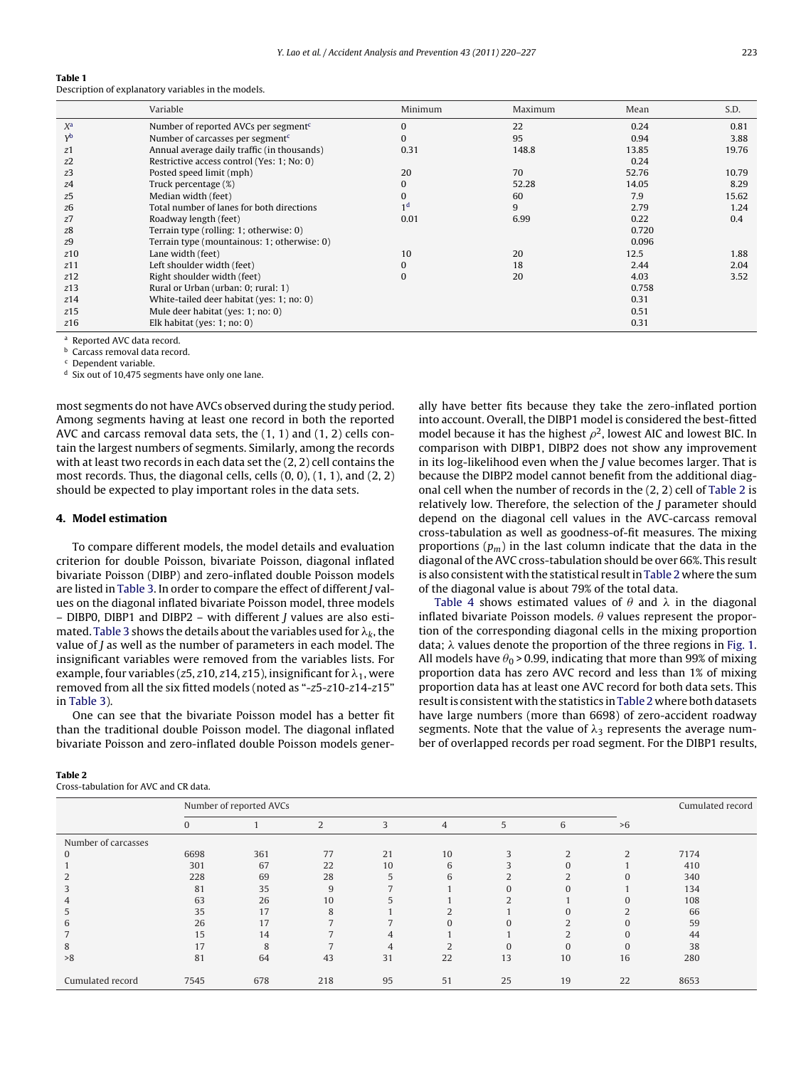<span id="page-3-0"></span>

| Table 1 |  |  |
|---------|--|--|
|         |  |  |

Description of explanatory variables in the models.

|                  | Variable                                         | Minimum        | Maximum | Mean  | S.D.  |
|------------------|--------------------------------------------------|----------------|---------|-------|-------|
| $X^{\mathsf{a}}$ | Number of reported AVCs per segment <sup>c</sup> | 0              | 22      | 0.24  | 0.81  |
| Yb               | Number of carcasses per segment $\epsilon$       | $\Omega$       | 95      | 0.94  | 3.88  |
| z1               | Annual average daily traffic (in thousands)      | 0.31           | 148.8   | 13.85 | 19.76 |
| z2               | Restrictive access control (Yes: 1; No: 0)       |                |         | 0.24  |       |
| z3               | Posted speed limit (mph)                         | 20             | 70      | 52.76 | 10.79 |
| z4               | Truck percentage (%)                             | $\Omega$       | 52.28   | 14.05 | 8.29  |
| z5               | Median width (feet)                              | 0              | 60      | 7.9   | 15.62 |
| z6               | Total number of lanes for both directions        | 1 <sup>d</sup> | 9       | 2.79  | 1.24  |
| z7               | Roadway length (feet)                            | 0.01           | 6.99    | 0.22  | 0.4   |
| z8               | Terrain type (rolling: 1; otherwise: 0)          |                |         | 0.720 |       |
| z <sub>9</sub>   | Terrain type (mountainous: 1; otherwise: 0)      |                |         | 0.096 |       |
| z10              | Lane width (feet)                                | 10             | 20      | 12.5  | 1.88  |
| z11              | Left shoulder width (feet)                       | 0              | 18      | 2.44  | 2.04  |
| z12              | Right shoulder width (feet)                      | O              | 20      | 4.03  | 3.52  |
| z13              | Rural or Urban (urban: 0; rural: 1)              |                |         | 0.758 |       |
| z14              | White-tailed deer habitat (yes: 1; no: 0)        |                |         | 0.31  |       |
| z15              | Mule deer habitat (yes: 1; no: 0)                |                |         | 0.51  |       |
| z16              | Elk habitat (yes: $1$ ; no: 0)                   |                |         | 0.31  |       |

<sup>a</sup> Reported AVC data record.

**b** Carcass removal data record.

Dependent variable.

<sup>d</sup> Six out of 10,475 segments have only one lane.

most segments do not have AVCs observed during the study period. Among segments having at least one record in both the reported AVC and carcass removal data sets, the (1, 1) and (1, 2) cells contain the largest numbers of segments. Similarly, among the records with at least two records in each data set the (2, 2) cell contains the most records. Thus, the diagonal cells, cells  $(0, 0)$ ,  $(1, 1)$ , and  $(2, 2)$ should be expected to play important roles in the data sets.

#### **4. Model estimation**

To compare different models, the model details and evaluation criterion for double Poisson, bivariate Poisson, diagonal inflated bivariate Poisson (DIBP) and zero-inflated double Poisson models are listed in [Table 3. I](#page-4-0)n order to compare the effect of different J values on the diagonal inflated bivariate Poisson model, three models – DIBP0, DIBP1 and DIBP2 – with different J values are also esti-mated. [Table 3](#page-4-0) shows the details about the variables used for  $\lambda_k$ , the value of  $J$  as well as the number of parameters in each model. The insignificant variables were removed from the variables lists. For example, four variables (z5, z10, z14, z15), insignificant for  $\lambda_1$ , were removed from all the six fitted models (noted as "-z5-z10-z14-z15" in [Table 3\).](#page-4-0)

One can see that the bivariate Poisson model has a better fit than the traditional double Poisson model. The diagonal inflated bivariate Poisson and zero-inflated double Poisson models gener-

#### **Table 2**

Cross-tabulation for AVC and CR data.

ally have better fits because they take the zero-inflated portion into account. Overall, the DIBP1 model is considered the best-fitted model because it has the highest  $\rho^2$ , lowest AIC and lowest BIC. In comparison with DIBP1, DIBP2 does not show any improvement in its log-likelihood even when the J value becomes larger. That is because the DIBP2 model cannot benefit from the additional diagonal cell when the number of records in the (2, 2) cell of Table 2 is relatively low. Therefore, the selection of the J parameter should depend on the diagonal cell values in the AVC-carcass removal cross-tabulation as well as goodness-of-fit measures. The mixing proportions  $(p_m)$  in the last column indicate that the data in the diagonal of the AVC cross-tabulation should be over 66%. This result is also consistent with the statistical result in Table 2 where the sum of the diagonal value is about 79% of the total data.

[Table 4](#page-4-0) shows estimated values of  $\theta$  and  $\lambda$  in the diagonal inflated bivariate Poisson models.  $\theta$  values represent the proportion of the corresponding diagonal cells in the mixing proportion data;  $\lambda$  values denote the proportion of the three regions in [Fig. 1.](#page-1-0) All models have  $\theta_0$  > 0.99, indicating that more than 99% of mixing proportion data has zero AVC record and less than 1% of mixing proportion data has at least one AVC record for both data sets. This result is consistent with the statistics in Table 2 where both datasets have large numbers (more than 6698) of zero-accident roadway segments. Note that the value of  $\lambda_3$  represents the average number of overlapped records per road segment. For the DIBP1 results,

|                     |              | Number of reported AVCs |     |    |                |    |          |               | Cumulated record |  |
|---------------------|--------------|-------------------------|-----|----|----------------|----|----------|---------------|------------------|--|
|                     | $\mathbf{0}$ |                         | 2   | 3  | $\overline{4}$ | 5  | 6        | >6            |                  |  |
| Number of carcasses |              |                         |     |    |                |    |          |               |                  |  |
|                     | 6698         | 361                     | 77  | 21 | 10             |    |          | $\mathcal{L}$ | 7174             |  |
|                     | 301          | 67                      | 22  | 10 | 6              |    |          |               | 410              |  |
|                     | 228          | 69                      | 28  | 5  | 6              |    |          | $\Omega$      | 340              |  |
|                     | 81           | 35                      | 9   |    |                |    | $\Omega$ |               | 134              |  |
|                     | 63           | 26                      | 10  |    |                |    |          |               | 108              |  |
|                     | 35           | 17                      | 8   |    |                |    |          | ◠             | 66               |  |
| h                   | 26           | 17                      |     |    |                |    |          |               | 59               |  |
|                     | 15           | 14                      |     | 4  |                |    |          |               | 44               |  |
| 8                   | 17           | $\mathbf{8}$            |     |    |                | 0  | $\Omega$ |               | 38               |  |
| >8                  | 81           | 64                      | 43  | 31 | 22             | 13 | 10       | 16            | 280              |  |
| Cumulated record    | 7545         | 678                     | 218 | 95 | 51             | 25 | 19       | 22            | 8653             |  |
|                     |              |                         |     |    |                |    |          |               |                  |  |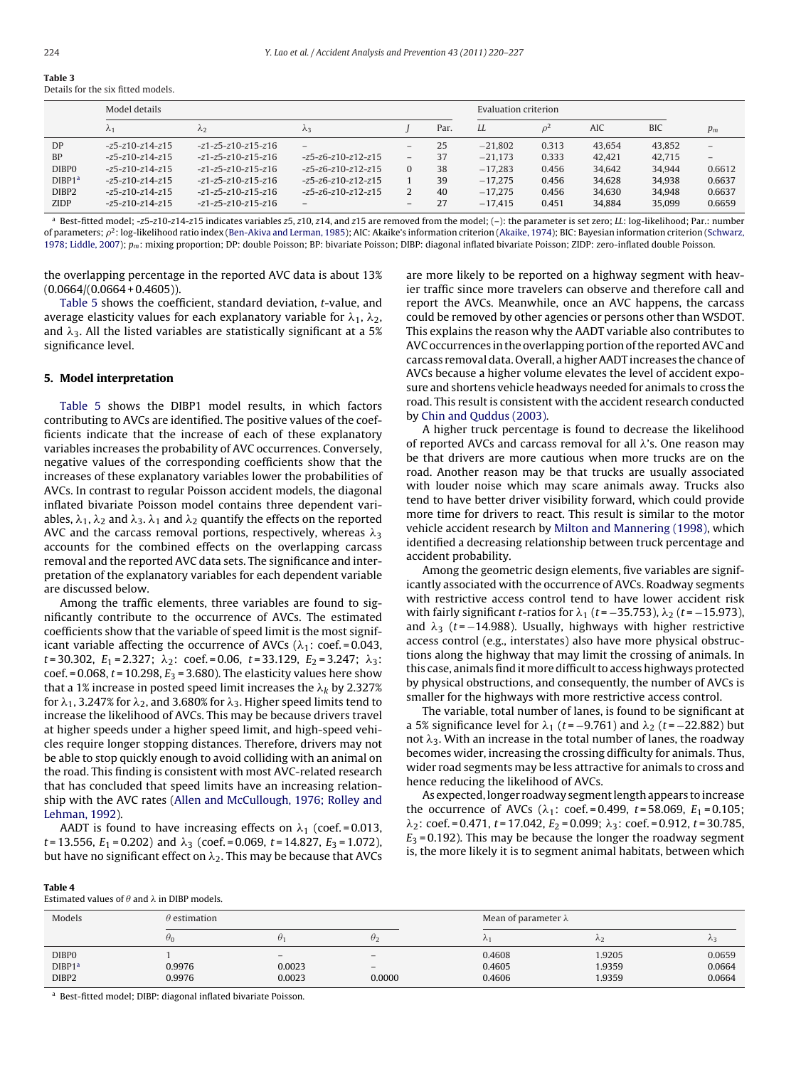<span id="page-4-0"></span>

| Table 3                            |  |  |
|------------------------------------|--|--|
| Details for the six fitted models. |  |  |

|                     | Model details           |                      |                              |                   |      | Evaluation criterion |                |        |            |        |
|---------------------|-------------------------|----------------------|------------------------------|-------------------|------|----------------------|----------------|--------|------------|--------|
|                     | $\lambda_1$             | $\lambda$ 2          | $\lambda$ 3                  |                   | Par. | LL                   | o <sup>Ζ</sup> | AIC    | <b>BIC</b> | $p_m$  |
| <b>DP</b>           | $-25 - 210 - 214 - 215$ | $-z1-z5-z10-z15-z16$ | $-$                          |                   | 25   | $-21.802$            | 0.313          | 43.654 | 43.852     | -      |
| <b>BP</b>           | $-25 - 210 - 214 - 215$ | $-z1-z5-z10-z15-z16$ | $-25 - 26 - 210 - 212 - 215$ | $\qquad \qquad -$ | 37   | $-21.173$            | 0.333          | 42.421 | 42.715     | -      |
| DIBP0               | $-25 - 210 - 214 - 215$ | $-z1-z5-z10-z15-z16$ | $-25 - 26 - 210 - 212 - 215$ | $\Omega$          | 38   | $-17.283$            | 0.456          | 34.642 | 34.944     | 0.6612 |
| DIBP <sub>1</sub> a | $-z5-z10-z14-z15$       | $-z1-z5-z10-z15-z16$ | $-25 - 26 - 210 - 212 - 215$ |                   | 39   | $-17.275$            | 0.456          | 34.628 | 34.938     | 0.6637 |
| DIBP2               | $-z5-z10-z14-z15$       | $-z1-z5-z10-z15-z16$ | $-25 - 26 - 210 - 212 - 215$ |                   | 40   | $-17.275$            | 0.456          | 34.630 | 34.948     | 0.6637 |
| ZIDP                | $-z5-z10-z14-z15$       | $-z1-z5-z10-z15-z16$ | $\overline{\phantom{0}}$     | -                 | 27   | $-17.415$            | 0.451          | 34.884 | 35.099     | 0.6659 |

<sup>a</sup> Best-fitted model; -z5-z10-z14-z15 indicates variables z5, z10, z14, and z15 are removed from the model; (-): the parameter is set zero; LL: log-likelihood; Par.: number of parameters;  $\rho^2$ : log-likelihood ratio index [\(Ben-Akiva and Lerman, 1985\);](#page-6-0) AIC: Akaike's information criterion [\(Akaike, 1974\);](#page-6-0) BIC: Bayesian information criterion [\(Schwarz,](#page-7-0) [1978; Liddle, 2007\);](#page-7-0)  $p_m$ : mixing proportion; DP: double Poisson; BP: bivariate Poisson; DIBP: diagonal inflated bivariate Poisson; ZIDP: zero-inflated double Poisson.

the overlapping percentage in the reported AVC data is about 13%  $(0.0664/(0.0664 + 0.4605))$ .

[Table 5](#page-5-0) shows the coefficient, standard deviation, t-value, and average elasticity values for each explanatory variable for  $\lambda_1$ ,  $\lambda_2$ , and  $\lambda_3$ . All the listed variables are statistically significant at a 5% significance level.

# **5. Model interpretation**

[Table 5](#page-5-0) shows the DIBP1 model results, in which factors contributing to AVCs are identified. The positive values of the coefficients indicate that the increase of each of these explanatory variables increases the probability of AVC occurrences. Conversely, negative values of the corresponding coefficients show that the increases of these explanatory variables lower the probabilities of AVCs. In contrast to regular Poisson accident models, the diagonal inflated bivariate Poisson model contains three dependent variables,  $\lambda_1$ ,  $\lambda_2$  and  $\lambda_3$ .  $\lambda_1$  and  $\lambda_2$  quantify the effects on the reported AVC and the carcass removal portions, respectively, whereas  $\lambda_3$ accounts for the combined effects on the overlapping carcass removal and the reported AVC data sets. The significance and interpretation of the explanatory variables for each dependent variable are discussed below.

Among the traffic elements, three variables are found to significantly contribute to the occurrence of AVCs. The estimated coefficients show that the variable of speed limit is the most significant variable affecting the occurrence of AVCs ( $\lambda_1$ : coef.=0.043,  $t = 30.302, E_1 = 2.327; \lambda_2$ : coef. = 0.06,  $t = 33.129, E_2 = 3.247; \lambda_3$ : coef. = 0.068,  $t$  = 10.298,  $E_3$  = 3.680). The elasticity values here show that a 1% increase in posted speed limit increases the  $\lambda_k$  by 2.327% for  $\lambda_1$ , 3.247% for  $\lambda_2$ , and 3.680% for  $\lambda_3$ . Higher speed limits tend to increase the likelihood of AVCs. This may be because drivers travel at higher speeds under a higher speed limit, and high-speed vehicles require longer stopping distances. Therefore, drivers may not be able to stop quickly enough to avoid colliding with an animal on the road. This finding is consistent with most AVC-related research that has concluded that speed limits have an increasing relationship with the AVC rates ([Allen and McCullough, 1976; Rolley and](#page-6-0) [Lehman, 1992\).](#page-6-0)

AADT is found to have increasing effects on  $\lambda_1$  (coef.=0.013, t = 13.556,  $E_1$  = 0.202) and  $\lambda_3$  (coef. = 0.069, t = 14.827,  $E_3$  = 1.072), but have no significant effect on  $\lambda_2.$  This may be because that AVCs are more likely to be reported on a highway segment with heavier traffic since more travelers can observe and therefore call and report the AVCs. Meanwhile, once an AVC happens, the carcass could be removed by other agencies or persons other than WSDOT. This explains the reason why the AADT variable also contributes to AVC occurrences in the overlapping portion of the reported AVC and carcass removal data. Overall, a higher AADT increases the chance of AVCs because a higher volume elevates the level of accident exposure and shortens vehicle headways needed for animals to cross the road. This result is consistent with the accident research conducted by [Chin and Quddus \(2003\).](#page-6-0)

A higher truck percentage is found to decrease the likelihood of reported AVCs and carcass removal for all  $\lambda$ 's. One reason may be that drivers are more cautious when more trucks are on the road. Another reason may be that trucks are usually associated with louder noise which may scare animals away. Trucks also tend to have better driver visibility forward, which could provide more time for drivers to react. This result is similar to the motor vehicle accident research by [Milton and Mannering \(1998\), w](#page-7-0)hich identified a decreasing relationship between truck percentage and accident probability.

Among the geometric design elements, five variables are significantly associated with the occurrence of AVCs. Roadway segments with restrictive access control tend to have lower accident risk with fairly significant t-ratios for  $\lambda_1$  (t = -35.753),  $\lambda_2$  (t = -15.973), and  $\lambda_3$  (t = -14.988). Usually, highways with higher restrictive access control (e.g., interstates) also have more physical obstructions along the highway that may limit the crossing of animals. In this case, animals find it more difficult to access highways protected by physical obstructions, and consequently, the number of AVCs is smaller for the highways with more restrictive access control.

The variable, total number of lanes, is found to be significant at a 5% significance level for  $\lambda_1$  (t = -9.761) and  $\lambda_2$  (t = -22.882) but not  $\lambda_3$ . With an increase in the total number of lanes, the roadway becomes wider, increasing the crossing difficulty for animals. Thus, wider road segments may be less attractive for animals to cross and hence reducing the likelihood of AVCs.

As expected, longer roadway segment length appears to increase the occurrence of AVCs ( $\lambda_1$ : coef.=0.499, t=58.069,  $E_1$ =0.105;  $\lambda_2$ : coef. = 0.471, t = 17.042,  $E_2$  = 0.099;  $\lambda_3$ : coef. = 0.912, t = 30.785,  $E_3$  = 0.192). This may be because the longer the roadway segment is, the more likely it is to segment animal habitats, between which

#### **Table 4**

Estimated values of  $\theta$  and  $\lambda$  in DIBP models.

| Models             | $\theta$ estimation |                              |                                 | Mean of parameter $\lambda$ |        |             |
|--------------------|---------------------|------------------------------|---------------------------------|-----------------------------|--------|-------------|
|                    | $\theta_0$          | υ.                           | θ2                              | $\sim$                      | ハノ     | $\lambda$ 3 |
| DIBP0              |                     | $\qquad \qquad \blacksquare$ | $\hspace{0.1mm}-\hspace{0.1mm}$ | 0.4608                      | 1.9205 | 0.0659      |
| DIBP1 <sup>a</sup> | 0.9976              | 0.0023                       | $\overline{\phantom{0}}$        | 0.4605                      | 1.9359 | 0.0664      |
| DIBP2              | 0.9976              | 0.0023                       | 0.0000                          | 0.4606                      | 1.9359 | 0.0664      |

<sup>a</sup> Best-fitted model; DIBP: diagonal inflated bivariate Poisson.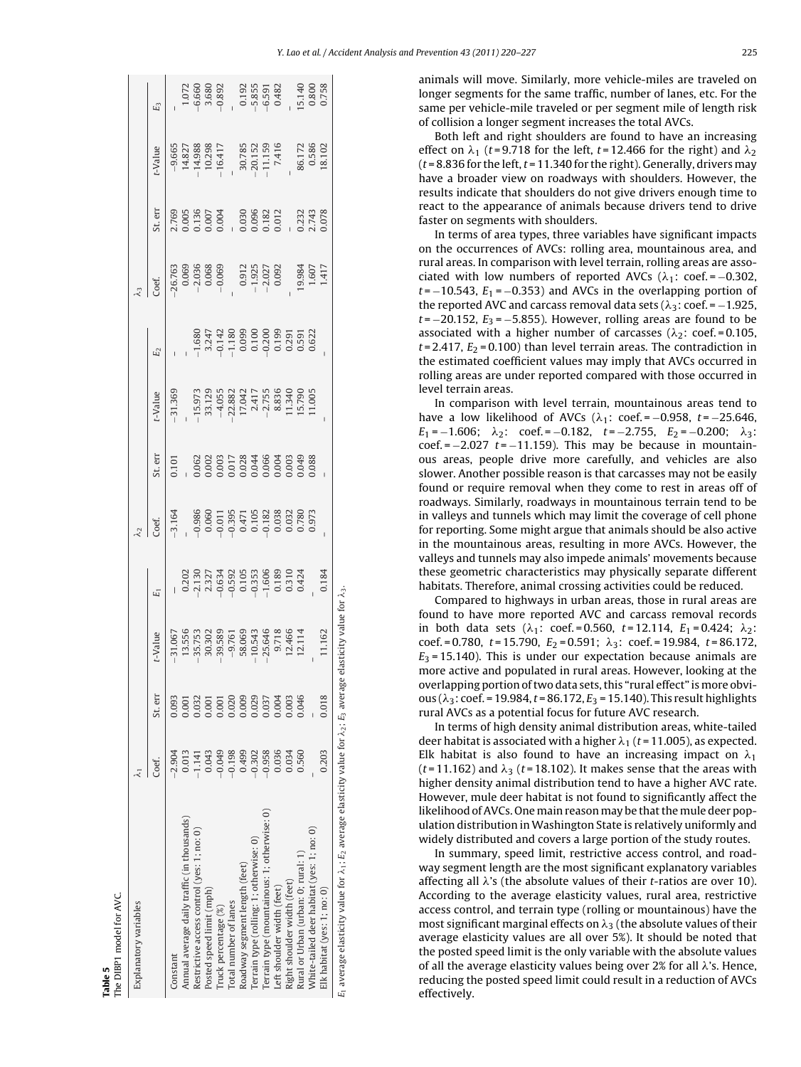**Table 5** The DIBP1 model for AVC.

<span id="page-5-0"></span>

| Explanatory variables                                                                                             |          |         |                                                                                                                                                                                                                                                                      |                                                                                                                                                                                                                                                                                                                                  | $\lambda_2$                                                                                                                                                                                                                                                         |         |                                                                                                                                                                                                     |                                                                                                                                                                                                                                                                                                                                   | $\mathcal{L}_3$                       |         |                                                                                                                      |                                                                                                                                                                                                                                                                                                                                               |
|-------------------------------------------------------------------------------------------------------------------|----------|---------|----------------------------------------------------------------------------------------------------------------------------------------------------------------------------------------------------------------------------------------------------------------------|----------------------------------------------------------------------------------------------------------------------------------------------------------------------------------------------------------------------------------------------------------------------------------------------------------------------------------|---------------------------------------------------------------------------------------------------------------------------------------------------------------------------------------------------------------------------------------------------------------------|---------|-----------------------------------------------------------------------------------------------------------------------------------------------------------------------------------------------------|-----------------------------------------------------------------------------------------------------------------------------------------------------------------------------------------------------------------------------------------------------------------------------------------------------------------------------------|---------------------------------------|---------|----------------------------------------------------------------------------------------------------------------------|-----------------------------------------------------------------------------------------------------------------------------------------------------------------------------------------------------------------------------------------------------------------------------------------------------------------------------------------------|
|                                                                                                                   | Coef     | St. err | $-V$ alue                                                                                                                                                                                                                                                            | $E_1$                                                                                                                                                                                                                                                                                                                            | Coef.                                                                                                                                                                                                                                                               | St. err | -Value                                                                                                                                                                                              | E <sub>2</sub>                                                                                                                                                                                                                                                                                                                    | Coef.                                 | St. err | -Value                                                                                                               | E3                                                                                                                                                                                                                                                                                                                                            |
| Constant                                                                                                          | $-2.904$ | 0.93    |                                                                                                                                                                                                                                                                      |                                                                                                                                                                                                                                                                                                                                  |                                                                                                                                                                                                                                                                     |         | $-31.369$                                                                                                                                                                                           |                                                                                                                                                                                                                                                                                                                                   |                                       |         |                                                                                                                      |                                                                                                                                                                                                                                                                                                                                               |
| Annual average daily traffic (in thousands)                                                                       | 0.013    |         | $55.55$<br>$55.75$<br>$35.75$<br>$35.88$<br>$55.75$<br>$55.75$<br>$55.75$<br>$55.75$<br>$55.75$<br>$55.75$<br>$55.75$<br>$55.75$<br>$55.75$<br>$55.75$<br>$55.75$<br>$55.75$<br>$55.75$<br>$55.75$<br>$55.75$<br>$55.75$<br>$55.75$<br>$55.75$<br>$55.75$<br>$55.75$ | $\begin{array}{r} 0.202 \\ 0.203 \\ -0.7130 \\ -0.634 \\ -0.634 \\ -0.634 \\ -0.634 \\ -0.634 \\ -0.634 \\ -0.634 \\ -0.634 \\ -0.634 \\ -0.634 \\ -0.634 \\ -0.634 \\ -0.634 \\ -0.634 \\ -0.634 \\ -0.634 \\ -0.634 \\ -0.634 \\ -0.634 \\ -0.634 \\ -0.634 \\ -0.634 \\ -0.634 \\ -0.634 \\ -0.634 \\ -0.634 \\ -0.634 \\ -0$ | $\begin{array}{cc}\n 31.64 & 0.00000 & 0.00000 & 0.00000 & 0.0000 & 0.0000 & 0.0000 & 0.0000 & 0.0000 & 0.0000 & 0.0000 & 0.0000 & 0.0000 & 0.0000 & 0.0000 & 0.0000 & 0.0000 & 0.0000 & 0.0000 & 0.0000 & 0.0000 & 0.0000 & 0.0000 & 0.0000 & 0.0000 & 0.0000 & 0$ |         |                                                                                                                                                                                                     |                                                                                                                                                                                                                                                                                                                                   | $26.763$<br>0.069<br>-2.036<br>-0.068 |         | $\begin{array}{r} -9.665 \\ 14.827 \\ -14.988 \\ -10.298 \\ -16.417 \\ -30.785 \\ -20.152 \\ -11.159 \\ \end{array}$ |                                                                                                                                                                                                                                                                                                                                               |
| Restrictive access control (yes: 1; no: 0)                                                                        | $-1.141$ |         |                                                                                                                                                                                                                                                                      |                                                                                                                                                                                                                                                                                                                                  |                                                                                                                                                                                                                                                                     |         |                                                                                                                                                                                                     |                                                                                                                                                                                                                                                                                                                                   |                                       |         |                                                                                                                      |                                                                                                                                                                                                                                                                                                                                               |
| Posted speed limit (mph)                                                                                          | 0.043    |         |                                                                                                                                                                                                                                                                      |                                                                                                                                                                                                                                                                                                                                  |                                                                                                                                                                                                                                                                     |         |                                                                                                                                                                                                     |                                                                                                                                                                                                                                                                                                                                   |                                       |         |                                                                                                                      |                                                                                                                                                                                                                                                                                                                                               |
| Truck percentage (%)                                                                                              | $-0.049$ |         |                                                                                                                                                                                                                                                                      |                                                                                                                                                                                                                                                                                                                                  |                                                                                                                                                                                                                                                                     |         | $15.973\n37.129\n38.82\n47.75\n58.83\n59.75\n50.75\n60.75\n79.75\n88.75\n11.79\n12.75\n13.75\n14.75\n15.79\n16.05\n17.75\n18.75\n19.75\n10.75\n11.75\n12.75\n13.75\n14.75\n15.75\n16.75\n17.75\n18$ | $\begin{array}{r} 1.680 \\ -1.680 \\ -1.180 \\ -1.180 \\ -1.180 \\ -1.180 \\ -1.099 \\ -1.099 \\ -1.099 \\ -1.000 \\ -1.000 \\ -1.000 \\ -1.000 \\ -1.000 \\ -1.000 \\ -1.000 \\ -1.000 \\ -1.000 \\ -1.000 \\ -1.000 \\ -1.000 \\ -1.000 \\ -1.000 \\ -1.000 \\ -1.000 \\ -1.000 \\ -1.000 \\ -1.000 \\ -1.000 \\ -1.000 \\ -1.$ |                                       |         |                                                                                                                      |                                                                                                                                                                                                                                                                                                                                               |
| Total number of lanes                                                                                             | $-0.198$ | 0.020   |                                                                                                                                                                                                                                                                      |                                                                                                                                                                                                                                                                                                                                  |                                                                                                                                                                                                                                                                     |         |                                                                                                                                                                                                     |                                                                                                                                                                                                                                                                                                                                   |                                       |         |                                                                                                                      |                                                                                                                                                                                                                                                                                                                                               |
| Roadway segment length (feet)                                                                                     | 0.499    | 0.009   |                                                                                                                                                                                                                                                                      |                                                                                                                                                                                                                                                                                                                                  |                                                                                                                                                                                                                                                                     |         |                                                                                                                                                                                                     |                                                                                                                                                                                                                                                                                                                                   |                                       |         |                                                                                                                      |                                                                                                                                                                                                                                                                                                                                               |
| Terrain type (rolling: 1; otherwise: 0)                                                                           | $-0.302$ | 0.029   |                                                                                                                                                                                                                                                                      |                                                                                                                                                                                                                                                                                                                                  |                                                                                                                                                                                                                                                                     |         |                                                                                                                                                                                                     |                                                                                                                                                                                                                                                                                                                                   |                                       |         |                                                                                                                      |                                                                                                                                                                                                                                                                                                                                               |
| errain type (mountainous: 1; otherwise: 0)                                                                        | $-0.958$ | 0.37    |                                                                                                                                                                                                                                                                      |                                                                                                                                                                                                                                                                                                                                  |                                                                                                                                                                                                                                                                     |         |                                                                                                                                                                                                     |                                                                                                                                                                                                                                                                                                                                   | $0.912$<br>-1.925<br>-2.027<br>0.092  |         |                                                                                                                      |                                                                                                                                                                                                                                                                                                                                               |
| eft shoulder width (feet)                                                                                         | 0.036    |         |                                                                                                                                                                                                                                                                      |                                                                                                                                                                                                                                                                                                                                  |                                                                                                                                                                                                                                                                     |         |                                                                                                                                                                                                     |                                                                                                                                                                                                                                                                                                                                   |                                       |         |                                                                                                                      |                                                                                                                                                                                                                                                                                                                                               |
| Right shoulder width (feet)                                                                                       | 0.034    | 0.003   |                                                                                                                                                                                                                                                                      |                                                                                                                                                                                                                                                                                                                                  |                                                                                                                                                                                                                                                                     |         |                                                                                                                                                                                                     |                                                                                                                                                                                                                                                                                                                                   |                                       |         |                                                                                                                      |                                                                                                                                                                                                                                                                                                                                               |
| Rural or Urban (urban: 0; rural: 1)                                                                               | 0.560    | 0.046   |                                                                                                                                                                                                                                                                      |                                                                                                                                                                                                                                                                                                                                  |                                                                                                                                                                                                                                                                     |         |                                                                                                                                                                                                     |                                                                                                                                                                                                                                                                                                                                   |                                       |         |                                                                                                                      |                                                                                                                                                                                                                                                                                                                                               |
| White-tailed deer habitat (yes: 1; no: 0)                                                                         |          |         |                                                                                                                                                                                                                                                                      |                                                                                                                                                                                                                                                                                                                                  |                                                                                                                                                                                                                                                                     |         |                                                                                                                                                                                                     |                                                                                                                                                                                                                                                                                                                                   | 19.984<br>1.607<br>1.417              |         | $\frac{86.172}{0.586}$                                                                                               | $\begin{array}{cc} 1.072 \\ 4.660 \\ -4.680 \\ -1.890 \\ -1.91 \\ -1.91 \\ -1.91 \\ -1.91 \\ -1.91 \\ -1.91 \\ -1.91 \\ -1.91 \\ -1.91 \\ -1.91 \\ -1.91 \\ -1.91 \\ -1.91 \\ -1.91 \\ -1.91 \\ -1.91 \\ -1.91 \\ -1.91 \\ -1.91 \\ -1.91 \\ -1.91 \\ -1.91 \\ -1.91 \\ -1.91 \\ -1.91 \\ -1.91 \\ -1.91 \\ -1.91 \\ -1.91 \\ -1.91 \\ -1.91$ |
| Elk habitat (yes: 1; no: 0)                                                                                       | 0.203    | 0.018   | 11.162                                                                                                                                                                                                                                                               | 0.184                                                                                                                                                                                                                                                                                                                            |                                                                                                                                                                                                                                                                     |         |                                                                                                                                                                                                     |                                                                                                                                                                                                                                                                                                                                   |                                       |         |                                                                                                                      |                                                                                                                                                                                                                                                                                                                                               |
| $E_1$ average elasticity value for $\lambda_1$ ; $E_2$ average elasticity value for $\lambda_2$ ; $E_3$ average e |          |         | asticity value for $\lambda_3$                                                                                                                                                                                                                                       |                                                                                                                                                                                                                                                                                                                                  |                                                                                                                                                                                                                                                                     |         |                                                                                                                                                                                                     |                                                                                                                                                                                                                                                                                                                                   |                                       |         |                                                                                                                      |                                                                                                                                                                                                                                                                                                                                               |

animals will move. Similarly, more vehicle-miles are traveled on longer segments for the same traffic, number of lanes, etc. For the same per vehicle-mile traveled or per segment mile of length risk of collision a longer segment increases the total AVCs.

Both left and right shoulders are found to have an increasing effect on  $\lambda_1$  (t=9.718 for the left, t=12.466 for the right) and  $\lambda_2$ ( $t$  = 8.836 for the left,  $t$  = 11.340 for the right). Generally, drivers may have a broader view on roadways with shoulders. However, the results indicate that shoulders do not give drivers enough time to react to the appearance of animals because drivers tend to drive faster on segments with shoulders.

In terms of area types, three variables have significant impacts on the occurrences of AVCs: rolling area, mountainous area, and rural areas. In comparison with level terrain, rolling areas are associated with low numbers of reported AVCs ( $\lambda_1$ : coef. = -0.302,  $t = -10.543$ ,  $E_1 = -0.353$ ) and AVCs in the overlapping portion of the reported AVC and carcass removal data sets ( $\lambda_3$ : coef. = -1.925,  $t = -20.152$ ,  $E_3 = -5.855$ ). However, rolling areas are found to be associated with a higher number of carcasses ( $\lambda_2$ : coef.=0.105,  $t$  = 2.417,  $E_2$  = 0.100) than level terrain areas. The contradiction in the estimated coefficient values may imply that AVCs occurred in rolling areas are under reported compared with those occurred in level terrain areas.

In comparison with level terrain, mountainous areas tend to have a low likelihood of AVCs  $(\lambda_1: \text{coef.} = -0.958, t = -25.646,$  $E_1 = -1.606; \quad \lambda_2$ : coef. = -0.182, t = -2.755,  $E_2$  = -0.200;  $\lambda_3$ :  $\text{coef.} = -2.027$   $t = -11.159$ ). This may be because in mountainous areas, people drive more carefully, and vehicles are also slower. Another possible reason is that carcasses may not be easily found or require removal when they come to rest in areas off of roadways. Similarly, roadways in mountainous terrain tend to be in valleys and tunnels which may limit the coverage of cell phone for reporting. Some might argue that animals should be also active in the mountainous areas, resulting in more AVCs. However, the valleys and tunnels may also impede animals' movements because these geometric characteristics may physically separate different habitats. Therefore, animal crossing activities could be reduced.

Compared to highways in urban areas, those in rural areas are found to have more reported AVC and carcass removal records in both data sets ( $\lambda_1$ : coef.=0.560, t=12.114,  $E_1$ =0.424;  $\lambda_2$ : coef. = 0.780,  $t = 15.790$ ,  $E_2 = 0.591$ ;  $\lambda_3$ : coef. = 19.984,  $t = 86.172$ ,  $E_3$  = 15.140). This is under our expectation because animals are more active and populated in rural areas. However, looking at the overlapping portion of two data sets, this "rural effect" is more obvious ( $\lambda_3$ : coef. = 19.984, t = 86.172,  $E_3$  = 15.140). This result highlights rural AVCs as a potential focus for future AVC research.

In terms of high density animal distribution areas, white-tailed deer habitat is associated with a higher  $\lambda_1$  (t = 11.005), as expected. Elk habitat is also found to have an increasing impact on  $\lambda_1$ ( $t$ =11.162) and  $\lambda_3$  ( $t$ =18.102). It makes sense that the areas with higher density animal distribution tend to have a higher AVC rate. However, mule deer habitat is not found to significantly affect the likelihood of AVCs. One main reason may be that the mule deer population distribution in Washington State is relatively uniformly and widely distributed and covers a large portion of the study routes.

In summary, speed limit, restrictive access control, and roadway segment length are the most significant explanatory variables affecting all  $\lambda$ 's (the absolute values of their *t*-ratios are over 10). According to the average elasticity values, rural area, restrictive access control, and terrain type (rolling or mountainous) have the most significant marginal effects on  $\lambda_3$  (the absolute values of their average elasticity values are all over 5%). It should be noted that the posted speed limit is the only variable with the absolute values of all the average elasticity values being over 2% for all  $\lambda$ 's. Hence, reducing the posted speed limit could result in a reduction of AVCs effectively.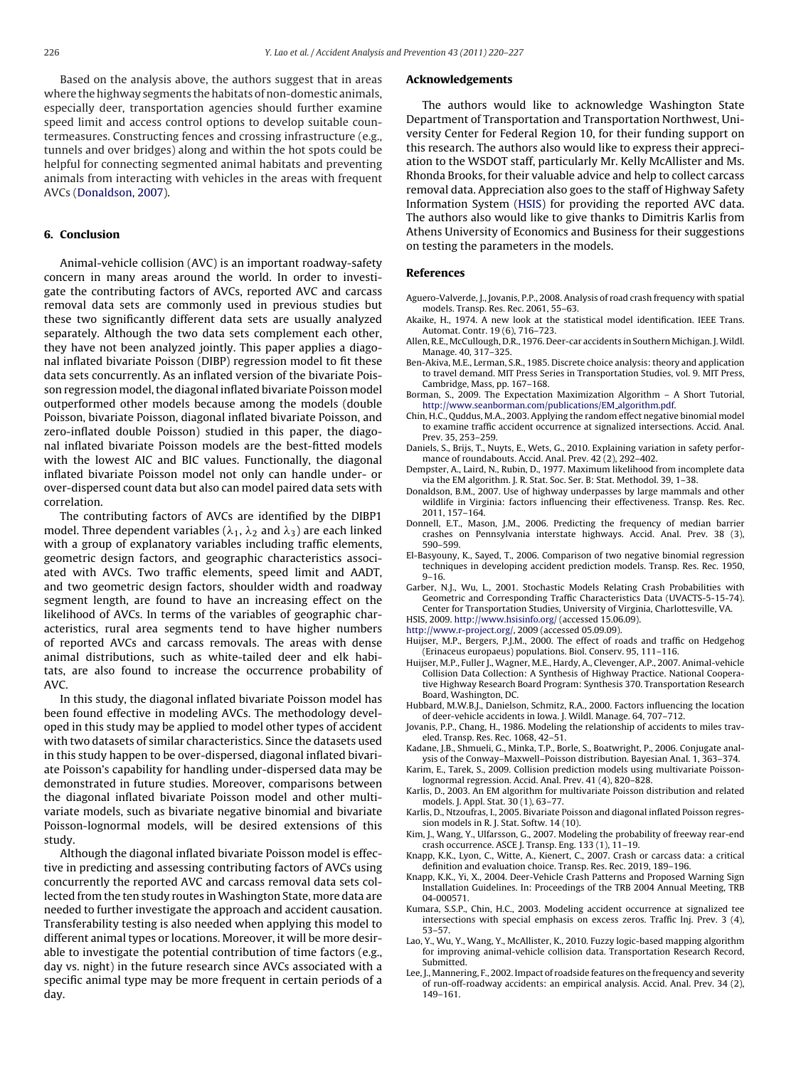<span id="page-6-0"></span>Based on the analysis above, the authors suggest that in areas where the highway segments the habitats of non-domestic animals, especially deer, transportation agencies should further examine speed limit and access control options to develop suitable countermeasures. Constructing fences and crossing infrastructure (e.g., tunnels and over bridges) along and within the hot spots could be helpful for connecting segmented animal habitats and preventing animals from interacting with vehicles in the areas with frequent AVCs (Donaldson, 2007).

#### **6. Conclusion**

Animal-vehicle collision (AVC) is an important roadway-safety concern in many areas around the world. In order to investigate the contributing factors of AVCs, reported AVC and carcass removal data sets are commonly used in previous studies but these two significantly different data sets are usually analyzed separately. Although the two data sets complement each other, they have not been analyzed jointly. This paper applies a diagonal inflated bivariate Poisson (DIBP) regression model to fit these data sets concurrently. As an inflated version of the bivariate Poisson regression model, the diagonal inflated bivariate Poisson model outperformed other models because among the models (double Poisson, bivariate Poisson, diagonal inflated bivariate Poisson, and zero-inflated double Poisson) studied in this paper, the diagonal inflated bivariate Poisson models are the best-fitted models with the lowest AIC and BIC values. Functionally, the diagonal inflated bivariate Poisson model not only can handle under- or over-dispersed count data but also can model paired data sets with correlation.

The contributing factors of AVCs are identified by the DIBP1 model. Three dependent variables ( $\lambda_1$ ,  $\lambda_2$  and  $\lambda_3$ ) are each linked with a group of explanatory variables including traffic elements, geometric design factors, and geographic characteristics associated with AVCs. Two traffic elements, speed limit and AADT, and two geometric design factors, shoulder width and roadway segment length, are found to have an increasing effect on the likelihood of AVCs. In terms of the variables of geographic characteristics, rural area segments tend to have higher numbers of reported AVCs and carcass removals. The areas with dense animal distributions, such as white-tailed deer and elk habitats, are also found to increase the occurrence probability of AVC.

In this study, the diagonal inflated bivariate Poisson model has been found effective in modeling AVCs. The methodology developed in this study may be applied to model other types of accident with two datasets of similar characteristics. Since the datasets used in this study happen to be over-dispersed, diagonal inflated bivariate Poisson's capability for handling under-dispersed data may be demonstrated in future studies. Moreover, comparisons between the diagonal inflated bivariate Poisson model and other multivariate models, such as bivariate negative binomial and bivariate Poisson-lognormal models, will be desired extensions of this study.

Although the diagonal inflated bivariate Poisson model is effective in predicting and assessing contributing factors of AVCs using concurrently the reported AVC and carcass removal data sets collected from the ten study routes in Washington State, more data are needed to further investigate the approach and accident causation. Transferability testing is also needed when applying this model to different animal types or locations. Moreover, it will be more desirable to investigate the potential contribution of time factors (e.g., day vs. night) in the future research since AVCs associated with a specific animal type may be more frequent in certain periods of a day.

#### **Acknowledgements**

The authors would like to acknowledge Washington State Department of Transportation and Transportation Northwest, University Center for Federal Region 10, for their funding support on this research. The authors also would like to express their appreciation to the WSDOT staff, particularly Mr. Kelly McAllister and Ms. Rhonda Brooks, for their valuable advice and help to collect carcass removal data. Appreciation also goes to the staff of Highway Safety Information System (HSIS) for providing the reported AVC data. The authors also would like to give thanks to Dimitris Karlis from Athens University of Economics and Business for their suggestions on testing the parameters in the models.

#### **References**

- Aguero-Valverde, J., Jovanis, P.P., 2008. Analysis of road crash frequency with spatial models. Transp. Res. Rec. 2061, 55–63.
- Akaike, H., 1974. A new look at the statistical model identification. IEEE Trans. Automat. Contr. 19 (6), 716–723.
- Allen, R.E., McCullough, D.R., 1976. Deer-car accidents in Southern Michigan. J.Wildl. Manage. 40, 317–325.
- Ben-Akiva, M.E., Lerman, S.R., 1985. Discrete choice analysis: theory and application to travel demand. MIT Press Series in Transportation Studies, vol. 9. MIT Press, Cambridge, Mass, pp. 167–168.
- Borman, S., 2009. The Expectation Maximization Algorithm A Short Tutorial, [http://www.seanborman.com/publications/EM](http://www.seanborman.com/publications/EM_algorithm.pdf) algorithm.pdf.
- Chin, H.C., Quddus, M.A., 2003. Applying the random effect negative binomial model to examine traffic accident occurrence at signalized intersections. Accid. Anal. Prev. 35, 253–259.
- Daniels, S., Brijs, T., Nuyts, E., Wets, G., 2010. Explaining variation in safety performance of roundabouts. Accid. Anal. Prev. 42 (2), 292-402.
- Dempster, A., Laird, N., Rubin, D., 1977. Maximum likelihood from incomplete data via the EM algorithm. J. R. Stat. Soc. Ser. B: Stat. Methodol. 39, 1–38.
- Donaldson, B.M., 2007. Use of highway underpasses by large mammals and other wildlife in Virginia: factors influencing their effectiveness. Transp. Res. Rec. 2011, 157–164.
- Donnell, E.T., Mason, J.M., 2006. Predicting the frequency of median barrier crashes on Pennsylvania interstate highways. Accid. Anal. Prev. 38 (3), 590–599.
- El-Basyouny, K., Sayed, T., 2006. Comparison of two negative binomial regression techniques in developing accident prediction models. Transp. Res. Rec. 1950, 9–16.
- Garber, N.J., Wu, L., 2001. Stochastic Models Relating Crash Probabilities with Geometric and Corresponding Traffic Characteristics Data (UVACTS-5-15-74). Center for Transportation Studies, University of Virginia, Charlottesville, VA.

HSIS, 2009. <http://www.hsisinfo.org/> (accessed 15.06.09).

[http://www.r-project.org/,](http://www.r-project.org/) 2009 (accessed 05.09.09).

- Huijser, M.P., Bergers, P.J.M., 2000. The effect of roads and traffic on Hedgehog (Erinaceus europaeus) populations. Biol. Conserv. 95, 111–116.
- Huijser, M.P., Fuller J., Wagner, M.E., Hardy, A., Clevenger, A.P., 2007. Animal-vehicle Collision Data Collection: A Synthesis of Highway Practice. National Cooperative Highway Research Board Program: Synthesis 370. Transportation Research Board, Washington, DC.
- Hubbard, M.W.B.J., Danielson, Schmitz, R.A., 2000. Factors influencing the location of deer-vehicle accidents in Iowa. J. Wildl. Manage. 64, 707–712.
- Jovanis, P.P., Chang, H., 1986. Modeling the relationship of accidents to miles traveled. Transp. Res. Rec. 1068, 42–51.

Kadane, J.B., Shmueli, G., Minka, T.P., Borle, S., Boatwright, P., 2006. Conjugate analysis of the Conway–Maxwell–Poisson distribution. Bayesian Anal. 1, 363–374.

- Karim, E., Tarek, S., 2009. Collision prediction models using multivariate Poissonlognormal regression. Accid. Anal. Prev. 41 (4), 820–828.
- Karlis, D., 2003. An EM algorithm for multivariate Poisson distribution and related models. J. Appl. Stat. 30 (1), 63–77.
- Karlis, D., Ntzoufras, I., 2005. Bivariate Poisson and diagonal inflated Poisson regression models in R. J. Stat. Softw. 14 (10).
- Kim, J., Wang, Y., Ulfarsson, G., 2007. Modeling the probability of freeway rear-end crash occurrence. ASCE J. Transp. Eng. 133 (1), 11–19.
- Knapp, K.K., Lyon, C., Witte, A., Kienert, C., 2007. Crash or carcass data: a critical definition and evaluation choice. Transp. Res. Rec. 2019, 189–196.
- Knapp, K.K., Yi, X., 2004. Deer-Vehicle Crash Patterns and Proposed Warning Sign Installation Guidelines. In: Proceedings of the TRB 2004 Annual Meeting, TRB 04-000571.
- Kumara, S.S.P., Chin, H.C., 2003. Modeling accident occurrence at signalized tee intersections with special emphasis on excess zeros. Traffic Inj. Prev. 3 (4), 53–57.
- Lao, Y., Wu, Y., Wang, Y., McAllister, K., 2010. Fuzzy logic-based mapping algorithm for improving animal-vehicle collision data. Transportation Research Record, Submitted.
- Lee, J., Mannering, F., 2002. Impact of roadside features on the frequency and severity of run-off-roadway accidents: an empirical analysis. Accid. Anal. Prev. 34 (2), 149–161.